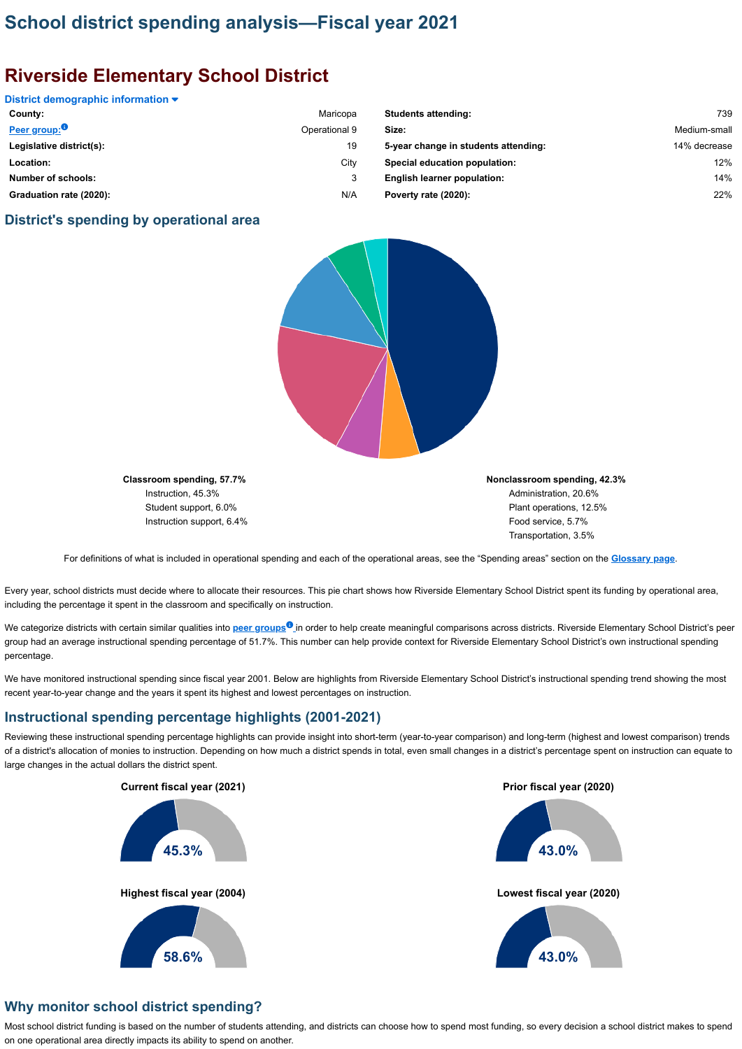# **School district spending analysis—Fiscal year 2021**

# **Riverside Elementary School District**

#### **District demographic information**

### **District's spending by operational area**



**Classroom spending, 57.7%** Instruction, 45.3% Student support, 6.0% Instruction support, 6.4% **Nonclassroom spending, 42.3%** Administration, 20.6% Plant operations, 12.5% Food service, 5.7% Transportation, 3.5%

We categorize districts with certain similar qualities into <mark>peer groups<sup>o</sup> i</mark>n order to help create meaningful comparisons across districts. Riverside Elementary School District's peer group had an average instructional spending percentage of 51.7%. This number can help provide context for Riverside Elementary School District's own instructional spending percentage.

For definitions of what is included in operational spending and each of the operational areas, see the "Spending areas" section on the **[Glossary page](https://sdspending.azauditor.gov/Glossary?year=2021)**.

Every year, school districts must decide where to allocate their resources. This pie chart shows how Riverside Elementary School District spent its funding by operational area, including the percentage it spent in the classroom and specifically on instruction.

| County:                   | Maricopa      | <b>Students attending:</b>           | 739          |
|---------------------------|---------------|--------------------------------------|--------------|
| Peer group: <sup>0</sup>  | Operational 9 | Size:                                | Medium-small |
| Legislative district(s):  | 19            | 5-year change in students attending: | 14% decrease |
| Location:                 | City          | Special education population:        | 12%          |
| <b>Number of schools:</b> | 3             | <b>English learner population:</b>   | 14%          |
| Graduation rate (2020):   | N/A           | Poverty rate (2020):                 | 22%          |

| 739          |
|--------------|
| Medium-small |
| 14% decrease |
| 12%          |
| 14%          |
| 22%          |
|              |

We have monitored instructional spending since fiscal year 2001. Below are highlights from Riverside Elementary School District's instructional spending trend showing the most recent year-to-year change and the years it spent its highest and lowest percentages on instruction.

### **Instructional spending percentage highlights (2001-2021)**

Reviewing these instructional spending percentage highlights can provide insight into short-term (year-to-year comparison) and long-term (highest and lowest comparison) trends of a district's allocation of monies to instruction. Depending on how much a district spends in total, even small changes in a district's percentage spent on instruction can equate to large changes in the actual dollars the district spent.

### **Why monitor school district spending?**

Most school district funding is based on the number of students attending, and districts can choose how to spend most funding, so every decision a school district makes to spend on one operational area directly impacts its ability to spend on another.

#### **Current fiscal year (2021)**

#### **Prior fiscal year (2020)**

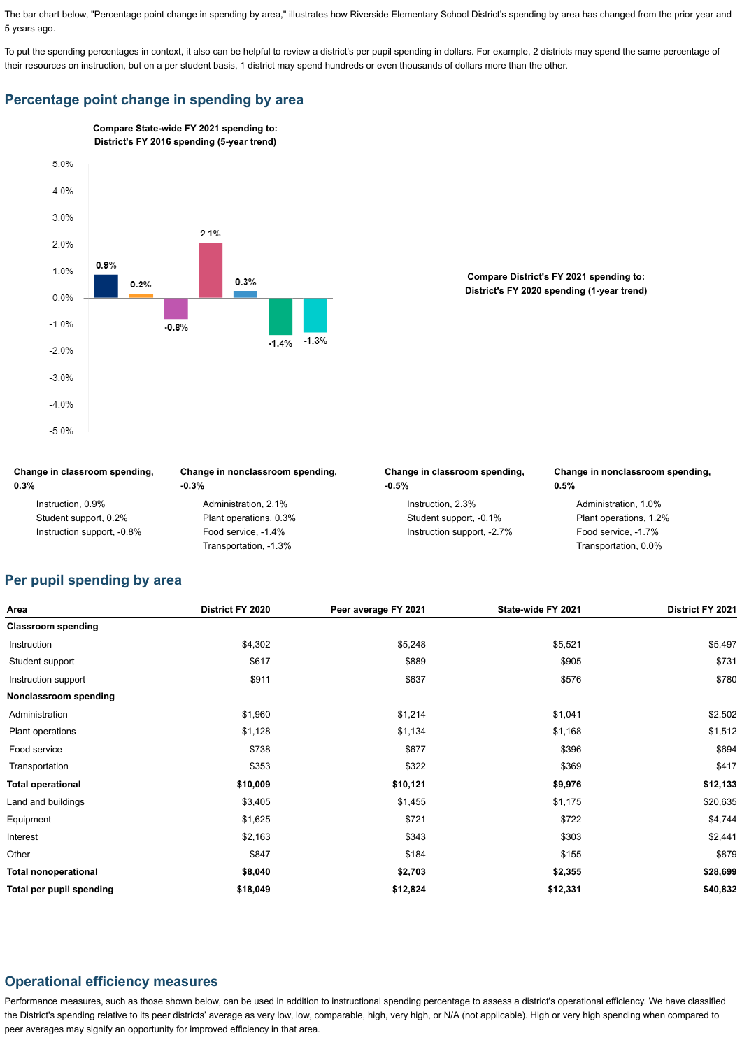The bar chart below, "Percentage point change in spending by area," illustrates how Riverside Elementary School District's spending by area has changed from the prior year and 5 years ago.

To put the spending percentages in context, it also can be helpful to review a district's per pupil spending in dollars. For example, 2 districts may spend the same percentage of their resources on instruction, but on a per student basis, 1 district may spend hundreds or even thousands of dollars more than the other.

## **Percentage point change in spending by area**

| Change in classroom spending, | Change in nonclassroom spending, | Change in classroom spending, | Change in nonclassroom spending,<br>0.5% |  |
|-------------------------------|----------------------------------|-------------------------------|------------------------------------------|--|
| 0.3%                          | $-0.3%$                          | $-0.5%$                       |                                          |  |
| Instruction, 0.9%             | Administration, 2.1%             | Instruction, 2.3%             | Administration, 1.0%                     |  |
| Student support, 0.2%         | Plant operations, 0.3%           | Student support, -0.1%        | Plant operations, 1.2%                   |  |
| Instruction support, -0.8%    | Food service, -1.4%              | Instruction support, -2.7%    | Food service, -1.7%                      |  |
|                               | Transportation, -1.3%            |                               | Transportation, 0.0%                     |  |

# **Per pupil spending by area**

| Area                      | <b>District FY 2020</b> | Peer average FY 2021 | State-wide FY 2021 | <b>District FY 2021</b> |
|---------------------------|-------------------------|----------------------|--------------------|-------------------------|
| <b>Classroom spending</b> |                         |                      |                    |                         |
| Instruction               | \$4,302                 | \$5,248              | \$5,521            | \$5,497                 |
| Student support           | \$617                   | \$889                | \$905              | \$731                   |
| Instruction support       | \$911                   | \$637                | \$576              | \$780                   |
| Nonclassroom spending     |                         |                      |                    |                         |
| Administration            | \$1,960                 | \$1,214              | \$1,041            | \$2,502                 |
| Plant operations          | \$1,128                 | \$1,134              | \$1,168            | \$1,512                 |
| Food service              | \$738                   | \$677                | \$396              | \$694                   |
| Transportation            | \$353                   | \$322                | \$369              | \$417                   |
| <b>Total operational</b>  | \$10,009                | \$10,121             | \$9,976            | \$12,133                |

| <b>Total per pupil spending</b> | \$18,049 | \$12,824 | \$12,331 | \$40,832 |
|---------------------------------|----------|----------|----------|----------|
| <b>Total nonoperational</b>     | \$8,040  | \$2,703  | \$2,355  | \$28,699 |
| Other                           | \$847    | \$184    | \$155    | \$879    |
| Interest                        | \$2,163  | \$343    | \$303    | \$2,441  |
| Equipment                       | \$1,625  | \$721    | \$722    | \$4,744  |
| Land and buildings              | \$3,405  | \$1,455  | \$1,175  | \$20,635 |

## **Operational efficiency measures**

Performance measures, such as those shown below, can be used in addition to instructional spending percentage to assess a district's operational efficiency. We have classified the District's spending relative to its peer districts' average as very low, low, comparable, high, very high, or N/A (not applicable). High or very high spending when compared to peer averages may signify an opportunity for improved efficiency in that area.



#### **Compare District's FY 2021 spending to: District's FY 2020 spending (1-year trend)**